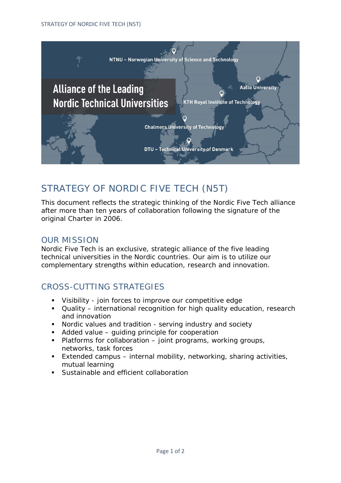

# STRATEGY OF NORDIC FIVE TECH (N5T)

This document reflects the strategic thinking of the Nordic Five Tech alliance after more than ten years of collaboration following the signature of the original Charter in 2006.

## OUR MISSION

Nordic Five Tech is an exclusive, strategic alliance of the five leading technical universities in the Nordic countries. Our aim is to utilize our complementary strengths within education, research and innovation.

# CROSS-CUTTING STRATEGIES

- Visibility join forces to improve our competitive edge
- Quality international recognition for high quality education, research and innovation
- Nordic values and tradition serving industry and society
- Added value guiding principle for cooperation
- $\blacksquare$  Platforms for collaboration  $\blacksquare$  joint programs, working groups, networks, task forces
- Extended campus internal mobility, networking, sharing activities, mutual learning
- Sustainable and efficient collaboration